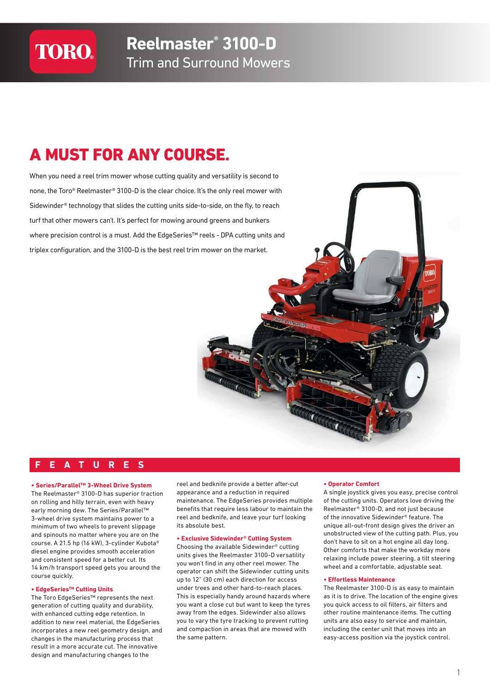# **TORO®**

# A MUST FOR ANY COURSE.

When you need a reel trim mower whose cutting quality and versatility is second to none, the Toro® Reelmaster® 3100-D is the clear choice. It's the only reel mower with Sidewinder® technology that slides the cutting units side-to-side, on the fly, to reach turf that other mowers can't. It's perfect for mowing around greens and bunkers where precision control is a must. Add the EdgeSeries™ reels - DPA cutting units and triplex configuration, and the 3100-D is the best reel trim mower on the market.

# **FEATURES**

#### **• Series/Parallel™ 3-Wheel Drive System**

The Reelmaster® 3100-D has superior traction on rolling and hilly terrain, even with heavy early morning dew. The Series/Parallel™ 3-wheel drive system maintains power to a minimum of two wheels to prevent slippage and spinouts no matter where you are on the course. A 21.5 hp (16 kW), 3-cylinder Kubota® diesel engine provides smooth acceleration and consistent speed for a better cut. Its 14 km/h transport speed gets you around the course quickly.

#### **• EdgeSeries™ Cutting Units**

The Toro EdgeSeries™ represents the next generation of cutting quality and durability, with enhanced cutting edge retention. In addition to new reel material, the EdgeSeries incorporates a new reel geometry design, and changes in the manufacturing process that result in a more accurate cut. The innovative design and manufacturing changes to the

reel and bedknife provide a better after-cut appearance and a reduction in required maintenance. The EdgeSeries provides multiple benefits that require less labour to maintain the reel and bedknife, and leave your turf looking its absolute best.

#### **• Exclusive Sidewinder® Cutting System**

Choosing the available Sidewinder® cutting units gives the Reelmaster 3100-D versatility you won't find in any other reel mower. The operator can shift the Sidewinder cutting units up to 12" (30 cm) each direction for access under trees and other hard-to-reach places. This is especially handy around hazards where you want a close cut but want to keep the tyres away from the edges. Sidewinder also allows you to vary the tyre tracking to prevent rutting and compaction in areas that are mowed with the same pattern.

#### **• Operator Comfort**

A single joystick gives you easy, precise control of the cutting units. Operators love driving the Reelmaster® 3100-D, and not just because of the innovative Sidewinder® feature. The unique all-out-front design gives the driver an unobstructed view of the cutting path. Plus, you don't have to sit on a hot engine all day long. Other comforts that make the workday more relaxing include power steering, a tilt steering wheel and a comfortable, adjustable seat.

#### **• Effortless Maintenance**

The Reelmaster 3100-D is as easy to maintain as it is to drive. The location of the engine gives you quick access to oil filters, air filters and other routine maintenance items. The cutting units are also easy to service and maintain, including the center unit that moves into an easy-access position via the joystick control.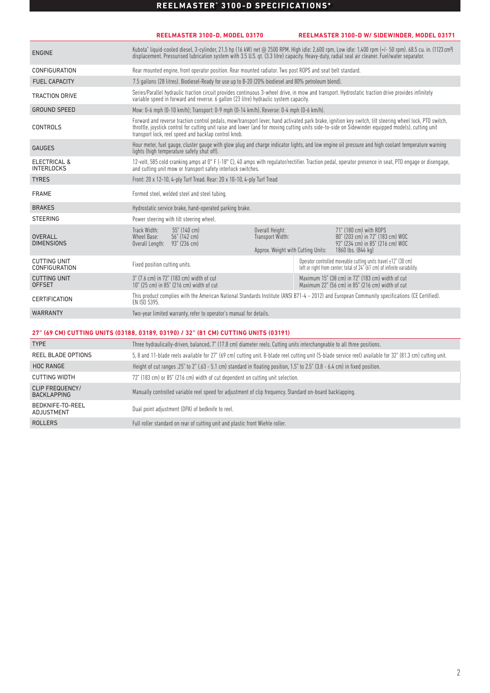# **REELMASTER® 3100-D SPECIFICATIONS\***

|                                                                                     |                                                                                                                                       | REELMASTER 3100-D. MODEL 03170                                                                                           |                                                                           |  | REELMASTER 3100-D W/ SIDEWINDER, MODEL 03171                                                                                                                                                                                                                                                                              |
|-------------------------------------------------------------------------------------|---------------------------------------------------------------------------------------------------------------------------------------|--------------------------------------------------------------------------------------------------------------------------|---------------------------------------------------------------------------|--|---------------------------------------------------------------------------------------------------------------------------------------------------------------------------------------------------------------------------------------------------------------------------------------------------------------------------|
| <b>ENGINE</b>                                                                       |                                                                                                                                       |                                                                                                                          |                                                                           |  | Kubota" liquid-cooled diesel, 3-cylinder, 21.5 hp (16 kW) net @ 2500 RPM. HIgh idle: 2,600 rpm, Low idle: 1,400 rpm (+/- 50 rpm). 68.5 cu. in. (1123 cm <sup>3</sup> )<br>displacement. Pressurised lubrication system with 3.5 U.S. qt. (3.3 litre) capacity. Heavy-duty, radial seal air cleaner. Fuel/water separator. |
| <b>CONFIGURATION</b>                                                                |                                                                                                                                       | Rear mounted engine, front operator position. Rear mounted radiator. Two post ROPS and seat belt standard.               |                                                                           |  |                                                                                                                                                                                                                                                                                                                           |
| <b>FUEL CAPACITY</b>                                                                |                                                                                                                                       | 7.5 gallons (28 litres). Biodiesel-Ready for use up to B-20 (20% biodiesel and 80% petroleum blend).                     |                                                                           |  |                                                                                                                                                                                                                                                                                                                           |
| <b>TRACTION DRIVE</b>                                                               |                                                                                                                                       | variable speed in forward and reverse. 6 gallon (23 litre) hydraulic system capacity.                                    |                                                                           |  | Series/Parallel hydraulic traction circuit provides continuous 3-wheel drive, in mow and transport. Hydrostatic traction drive provides infinitely                                                                                                                                                                        |
| <b>GROUND SPEED</b>                                                                 |                                                                                                                                       | Mow: 0-6 mph (0-10 km/h); Transport: 0-9 mph (0-14 km/h). Reverse: 0-4 mph (0-6 km/h).                                   |                                                                           |  |                                                                                                                                                                                                                                                                                                                           |
| <b>CONTROLS</b>                                                                     |                                                                                                                                       | transport lock, reel speed and backlap control knob.                                                                     |                                                                           |  | Forward and reverse traction control pedals, mow/transport lever, hand activated park brake, ignition key switch, tilt steering wheel lock, PTO switch,<br>throttle, joystick control for cutting unit raise and lower (and for moving cutting units side-to-side on Sidewinder equipped models), cutting unit            |
| <b>GAUGES</b>                                                                       |                                                                                                                                       | lights (high temperature safety shut off).                                                                               |                                                                           |  | Hour meter, fuel gauge, cluster gauge with glow plug and charge indicator lights, and low engine oil pressure and high coolant temperature warning                                                                                                                                                                        |
| <b>ELECTRICAL &amp;</b><br><b>INTERLOCKS</b>                                        |                                                                                                                                       | and cutting unit mow or transport safety interlock switches.                                                             |                                                                           |  | 12-volt, 585 cold cranking amps at 0°F (-18°C), 40 amps with regulator/rectifier. Traction pedal, operator presence in seat, PTO engage or disengage,                                                                                                                                                                     |
| <b>TYRES</b>                                                                        |                                                                                                                                       | Front: 20 x 12-10, 4-ply Turf Tread. Rear: 20 x 10-10, 4-ply Turf Tread                                                  |                                                                           |  |                                                                                                                                                                                                                                                                                                                           |
| <b>FRAME</b>                                                                        |                                                                                                                                       | Formed steel, welded steel and steel tubing.                                                                             |                                                                           |  |                                                                                                                                                                                                                                                                                                                           |
| <b>BRAKES</b>                                                                       |                                                                                                                                       | Hydrostatic service brake, hand-operated parking brake.                                                                  |                                                                           |  |                                                                                                                                                                                                                                                                                                                           |
| <b>STEERING</b>                                                                     |                                                                                                                                       | Power steering with tilt steering wheel.                                                                                 |                                                                           |  |                                                                                                                                                                                                                                                                                                                           |
| <b>OVERALL</b><br><b>DIMENSIONS</b>                                                 | Track Width:<br>Wheel Base:<br>Overall Length: 93" (236 cm)                                                                           | 55" (140 cm)<br>56" (142 cm)                                                                                             | Overall Height:<br>Transport Width:<br>Approx. Weight with Cutting Units: |  | 71" (180 cm) with ROPS<br>80" (203 cm) in 72" (183 cm) WOC<br>92" (234 cm) in 85" (216 cm) WOC<br>1860 lbs. (844 kg)                                                                                                                                                                                                      |
| <b>CUTTING UNIT</b><br>CONFIGURATION                                                | Fixed position cutting units.                                                                                                         |                                                                                                                          |                                                                           |  | Operator controlled moveable cutting units travel $\pm 12^{\circ}$ (30 cm)<br>left or right from center; total of 24" (61 cm) of infinite variability.                                                                                                                                                                    |
| <b>CUTTING UNIT</b><br><b>OFFSET</b>                                                |                                                                                                                                       | 3" (7.6 cm) in 72" (183 cm) width of cut<br>10" (25 cm) in 85" (216 cm) width of cut                                     |                                                                           |  | Maximum 15" (38 cm) in 72" (183 cm) width of cut<br>Maximum 22" (56 cm) in 85" (216 cm) width of cut                                                                                                                                                                                                                      |
| <b>CERTIFICATION</b>                                                                | EN ISO 5395.                                                                                                                          |                                                                                                                          |                                                                           |  | This product complies with the American National Standards Institute (ANSI B71-4 - 2012) and European Community specifications (CE Certified).                                                                                                                                                                            |
| <b>WARRANTY</b>                                                                     |                                                                                                                                       | Two-year limited warranty, refer to operator's manual for details.                                                       |                                                                           |  |                                                                                                                                                                                                                                                                                                                           |
| 27" (69 CM) CUTTING UNITS (03188, 03189, 03190) / 32" (81 CM) CUTTING UNITS (03191) |                                                                                                                                       |                                                                                                                          |                                                                           |  |                                                                                                                                                                                                                                                                                                                           |
| <b>TYPE</b>                                                                         |                                                                                                                                       | Three hydraulically-driven, balanced, 7" (17.8 cm) diameter reels. Cutting units interchangeable to all three positions. |                                                                           |  |                                                                                                                                                                                                                                                                                                                           |
| <b>REEL BLADE OPTIONS</b>                                                           |                                                                                                                                       |                                                                                                                          |                                                                           |  | 5, 8 and 11-blade reels available for 27" (69 cm) cutting unit. 8-blade reel cutting unit (5-blade service reel) available for 32" (81.3 cm) cutting unit.                                                                                                                                                                |
| <b>HOC RANGE</b>                                                                    | Height of cut ranges $.25$ " to 2" (.63 - 5.1 cm) standard in floating position, $1.5$ " to $2.5$ " (3.8 - 6.4 cm) in fixed position. |                                                                                                                          |                                                                           |  |                                                                                                                                                                                                                                                                                                                           |
| <b>CUTTING WIDTH</b>                                                                |                                                                                                                                       | 72" (183 cm) or 85" (216 cm) width of cut dependent on cutting unit selection.                                           |                                                                           |  |                                                                                                                                                                                                                                                                                                                           |

| <b>CLIP FREQUENCY/</b><br>BACKLAPPING | Manually controlled variable reel speed for adjustment of clip frequency. Standard on-board backlapping. |
|---------------------------------------|----------------------------------------------------------------------------------------------------------|
| BEDKNIFE-TO-REEL<br>ADJUSTMENT        | Dual point adjustment (DPA) of bedknife to reel.                                                         |

ROLLERS Full roller standard on rear of cutting unit and plastic front Wiehle roller.